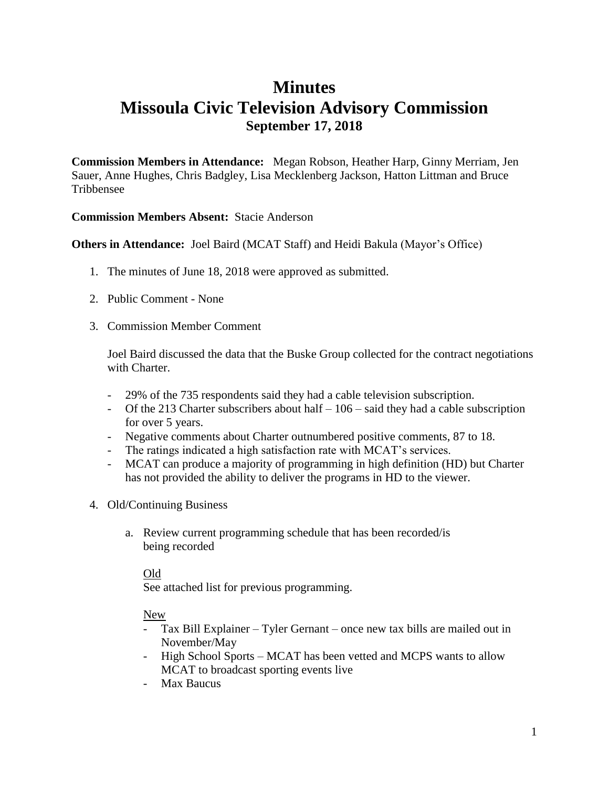### **Minutes Missoula Civic Television Advisory Commission September 17, 2018**

**Commission Members in Attendance:** Megan Robson, Heather Harp, Ginny Merriam, Jen Sauer, Anne Hughes, Chris Badgley, Lisa Mecklenberg Jackson, Hatton Littman and Bruce Tribbensee

### **Commission Members Absent:** Stacie Anderson

**Others in Attendance:** Joel Baird (MCAT Staff) and Heidi Bakula (Mayor's Office)

- 1. The minutes of June 18, 2018 were approved as submitted.
- 2. Public Comment None
- 3. Commission Member Comment

Joel Baird discussed the data that the Buske Group collected for the contract negotiations with Charter.

- 29% of the 735 respondents said they had a cable television subscription.
- Of the 213 Charter subscribers about half 106 said they had a cable subscription for over 5 years.
- Negative comments about Charter outnumbered positive comments, 87 to 18.
- The ratings indicated a high satisfaction rate with MCAT's services.
- MCAT can produce a majority of programming in high definition (HD) but Charter has not provided the ability to deliver the programs in HD to the viewer.
- 4. Old/Continuing Business
	- a. Review current programming schedule that has been recorded/is being recorded

#### Old

See attached list for previous programming.

#### New

- Tax Bill Explainer Tyler Gernant once new tax bills are mailed out in November/May
- High School Sports MCAT has been vetted and MCPS wants to allow MCAT to broadcast sporting events live
- Max Baucus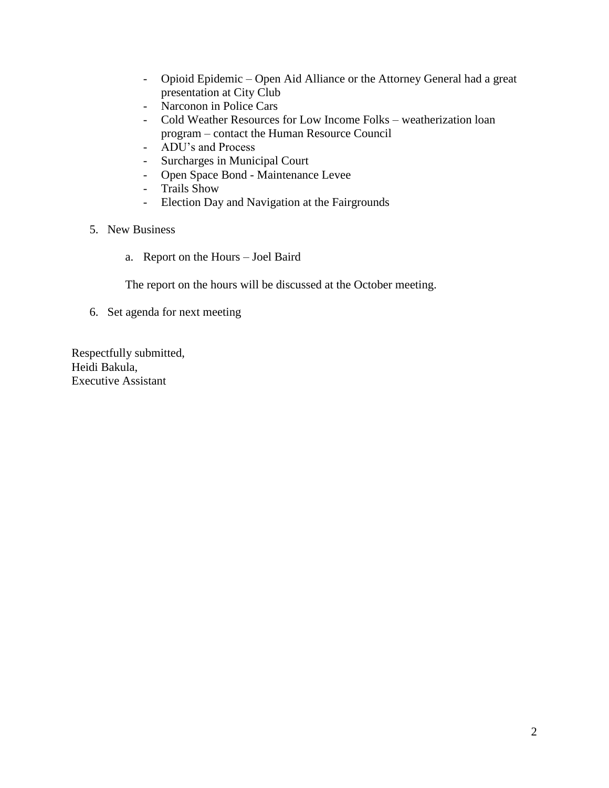- Opioid Epidemic Open Aid Alliance or the Attorney General had a great presentation at City Club
- Narconon in Police Cars
- Cold Weather Resources for Low Income Folks weatherization loan program – contact the Human Resource Council
- ADU's and Process
- Surcharges in Municipal Court
- Open Space Bond Maintenance Levee
- Trails Show
- Election Day and Navigation at the Fairgrounds
- 5. New Business
	- a. Report on the Hours Joel Baird

The report on the hours will be discussed at the October meeting.

6. Set agenda for next meeting

Respectfully submitted, Heidi Bakula, Executive Assistant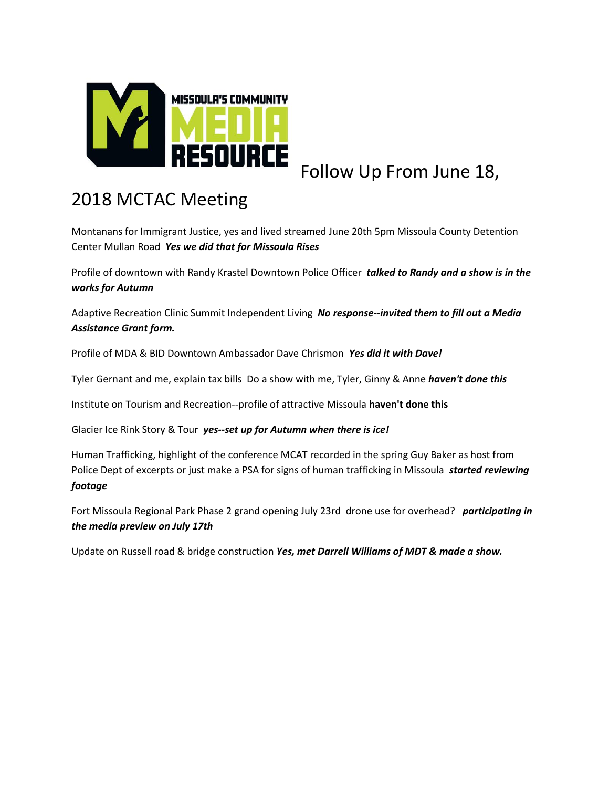

# Follow Up From June 18,

## 2018 MCTAC Meeting

Montanans for Immigrant Justice, yes and lived streamed June 20th 5pm Missoula County Detention Center Mullan Road *Yes we did that for Missoula Rises*

Profile of downtown with Randy Krastel Downtown Police Officer *talked to Randy and a show is in the works for Autumn*

Adaptive Recreation Clinic Summit Independent Living *No response--invited them to fill out a Media Assistance Grant form.*

Profile of MDA & BID Downtown Ambassador Dave Chrismon *Yes did it with Dave!*

Tyler Gernant and me, explain tax bills Do a show with me, Tyler, Ginny & Anne *haven't done this*

Institute on Tourism and Recreation--profile of attractive Missoula **haven't done this**

Glacier Ice Rink Story & Tour *yes--set up for Autumn when there is ice!*

Human Trafficking, highlight of the conference MCAT recorded in the spring Guy Baker as host from Police Dept of excerpts or just make a PSA for signs of human trafficking in Missoula *started reviewing footage*

Fort Missoula Regional Park Phase 2 grand opening July 23rd drone use for overhead? *participating in the media preview on July 17th*

Update on Russell road & bridge construction *Yes, met Darrell Williams of MDT & made a show.*